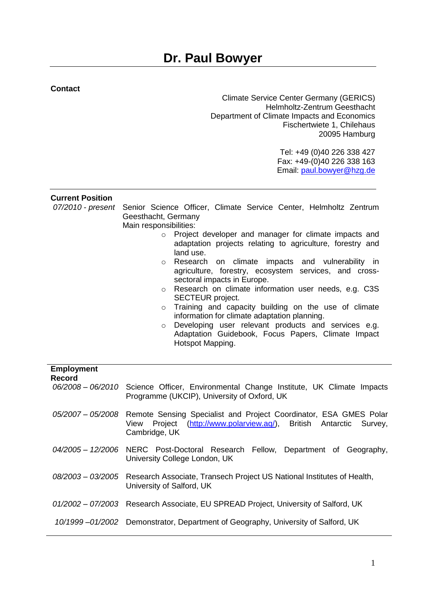## **Contact**

Climate Service Center Germany (GERICS) Helmholtz-Zentrum Geesthacht Department of Climate Impacts and Economics Fischertwiete 1, Chilehaus 20095 Hamburg

> Tel: +49 (0)40 226 338 427 Fax: +49-(0)40 226 338 163 Email: [paul.bowyer@hzg.de](mailto:paul.bowyer@hzg.de)

## **Current Position**

|  | 07/2010 - present Senior Science Officer, Climate Service Center, Helmholtz Zentrum<br>Geesthacht, Germany      |
|--|-----------------------------------------------------------------------------------------------------------------|
|  |                                                                                                                 |
|  | Main responsibilities:                                                                                          |
|  | Project developer and manager for climate impacts and                                                           |
|  | adaptation projects relating to agriculture, forestry and                                                       |
|  | land use.                                                                                                       |
|  | o Research on climate impacts and vulnerability in<br>agriculture, forestry, ecosystem services, and cross-     |
|  | sectoral impacts in Europe.                                                                                     |
|  | o Research on climate information user needs, e.g. C3S                                                          |
|  |                                                                                                                 |
|  | SECTEUR project.                                                                                                |
|  | Training and capacity building on the use of climate<br>$\circ$<br>information for climate adaptation planning. |
|  |                                                                                                                 |

o Developing user relevant products and services e.g. Adaptation Guidebook, Focus Papers, Climate Impact Hotspot Mapping.

| <b>Employment</b><br>Record |                                                                                                                                                                                  |
|-----------------------------|----------------------------------------------------------------------------------------------------------------------------------------------------------------------------------|
|                             | 06/2008 - 06/2010 Science Officer, Environmental Change Institute, UK Climate Impacts<br>Programme (UKCIP), University of Oxford, UK                                             |
|                             | 05/2007 - 05/2008 Remote Sensing Specialist and Project Coordinator, ESA GMES Polar<br>Project (http://www.polarview.aq/), British Antarctic<br>View<br>Survey,<br>Cambridge, UK |
|                             | 04/2005 - 12/2006 NERC Post-Doctoral Research Fellow, Department of Geography,<br>University College London, UK                                                                  |
|                             | 08/2003 – 03/2005 Research Associate, Transech Project US National Institutes of Health,<br>University of Salford, UK                                                            |
|                             | 01/2002 - 07/2003 Research Associate, EU SPREAD Project, University of Salford, UK                                                                                               |
|                             | 10/1999-01/2002 Demonstrator, Department of Geography, University of Salford, UK                                                                                                 |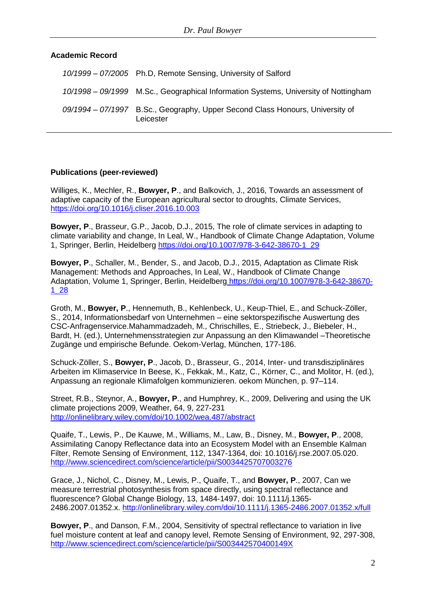## **Academic Record**

| 10/1999 - 07/2005 Ph.D. Remote Sensing, University of Salford                              |
|--------------------------------------------------------------------------------------------|
| 10/1998 - 09/1999 M.Sc., Geographical Information Systems, University of Nottingham        |
| 09/1994 – 07/1997 B.Sc., Geography, Upper Second Class Honours, University of<br>Leicester |

#### **Publications (peer-reviewed)**

Williges, K., Mechler, R., **Bowyer, P**., and Balkovich, J., 2016, Towards an assessment of adaptive capacity of the European agricultural sector to droughts, Climate Services, <https://doi.org/10.1016/j.cliser.2016.10.003>

**Bowyer, P**., Brasseur, G.P., Jacob, D.J., 2015, The role of climate services in adapting to climate variability and change, In Leal, W., Handbook of Climate Change Adaptation, Volume 1, Springer, Berlin, Heidelberg [https://doi.org/10.1007/978-3-642-38670-1\\_29](https://doi.org/10.1007/978-3-642-38670-1_29)

**Bowyer, P**., Schaller, M., Bender, S., and Jacob, D.J., 2015, Adaptation as Climate Risk Management: Methods and Approaches, In Leal, W., Handbook of Climate Change Adaptation, Volume 1, Springer, Berlin, Heidelberg [https://doi.org/10.1007/978-3-642-38670-](https://doi.org/10.1007/978-3-642-38670-1_28) [1\\_28](https://doi.org/10.1007/978-3-642-38670-1_28)

Groth, M., **Bowyer, P**., Hennemuth, B., Kehlenbeck, U., Keup-Thiel, E., and Schuck-Zöller, S., 2014, Informationsbedarf von Unternehmen – eine sektorspezifische Auswertung des CSC-Anfragenservice.Mahammadzadeh, M., Chrischilles, E., Striebeck, J., Biebeler, H., Bardt, H. (ed.), Unternehmensstrategien zur Anpassung an den Klimawandel –Theoretische Zugänge und empirische Befunde. Oekom-Verlag, München, 177-186.

Schuck-Zöller, S., **Bowyer, P**., Jacob, D., Brasseur, G., 2014, Inter- und transdisziplinäres Arbeiten im Klimaservice In Beese, K., Fekkak, M., Katz, C., Körner, C., and Molitor, H. (ed.), Anpassung an regionale Klimafolgen kommunizieren. oekom München, p. 97–114.

Street, R.B., Steynor, A., **Bowyer, P**., and Humphrey, K., 2009, Delivering and using the UK climate projections 2009, Weather, 64, 9, 227-231 <http://onlinelibrary.wiley.com/doi/10.1002/wea.487/abstract>

Quaife, T., Lewis, P., De Kauwe, M., Williams, M., Law, B., Disney, M., **Bowyer, P**., 2008, Assimilating Canopy Reflectance data into an Ecosystem Model with an Ensemble Kalman Filter, Remote Sensing of Environment, 112, 1347-1364, doi: 10.1016/j.rse.2007.05.020. <http://www.sciencedirect.com/science/article/pii/S0034425707003276>

Grace, J., Nichol, C., Disney, M., Lewis, P., Quaife, T., and **Bowyer, P**., 2007, Can we measure terrestrial photosynthesis from space directly, using spectral reflectance and fluorescence? Global Change Biology, 13, 1484-1497, doi: 10.1111/j.1365- 2486.2007.01352.x. <http://onlinelibrary.wiley.com/doi/10.1111/j.1365-2486.2007.01352.x/full>

**Bowyer, P**., and Danson, F.M., 2004, Sensitivity of spectral reflectance to variation in live fuel moisture content at leaf and canopy level, Remote Sensing of Environment, 92, 297-308, <http://www.sciencedirect.com/science/article/pii/S003442570400149X>